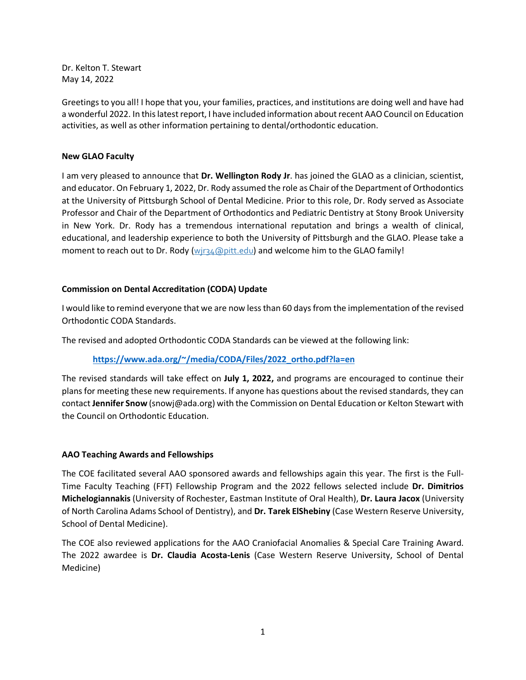Dr. Kelton T. Stewart May 14, 2022

Greetings to you all! I hope that you, your families, practices, and institutions are doing well and have had a wonderful 2022. In this latest report, I have included information about recent AAO Council on Education activities, as well as other information pertaining to dental/orthodontic education.

## **New GLAO Faculty**

I am very pleased to announce that **Dr. Wellington Rody Jr**. has joined the GLAO as a clinician, scientist, and educator. On February 1, 2022, Dr. Rody assumed the role as Chair of the Department of Orthodontics at the University of Pittsburgh School of Dental Medicine. Prior to this role, Dr. Rody served as Associate Professor and Chair of the Department of Orthodontics and Pediatric Dentistry at Stony Brook University in New York. Dr. Rody has a tremendous international reputation and brings a wealth of clinical, educational, and leadership experience to both the University of Pittsburgh and the GLAO. Please take a moment to reach out to Dr. Rody  $(wj_4 \text{apitt.edu})$  and welcome him to the GLAO family!

## **Commission on Dental Accreditation (CODA) Update**

I would like to remind everyone that we are now less than 60 days from the implementation of the revised Orthodontic CODA Standards.

The revised and adopted Orthodontic CODA Standards can be viewed at the following link:

# **[https://www.ada.org/~/media/CODA/Files/2022\\_ortho.pdf?la=en](https://www.ada.org/%7E/media/CODA/Files/2022_ortho.pdf?la=en)**

The revised standards will take effect on **July 1, 2022,** and programs are encouraged to continue their plans for meeting these new requirements. If anyone has questions about the revised standards, they can contact **Jennifer Snow** (snowj@ada.org) with the Commission on Dental Education or Kelton Stewart with the Council on Orthodontic Education.

### **AAO Teaching Awards and Fellowships**

The COE facilitated several AAO sponsored awards and fellowships again this year. The first is the Full-Time Faculty Teaching (FFT) Fellowship Program and the 2022 fellows selected include **Dr. Dimitrios Michelogiannakis** (University of Rochester, Eastman Institute of Oral Health), **Dr. Laura Jacox** (University of North Carolina Adams School of Dentistry), and **Dr. Tarek ElShebiny** (Case Western Reserve University, School of Dental Medicine).

The COE also reviewed applications for the AAO Craniofacial Anomalies & Special Care Training Award. The 2022 awardee is **Dr. Claudia Acosta-Lenis** (Case Western Reserve University, School of Dental Medicine)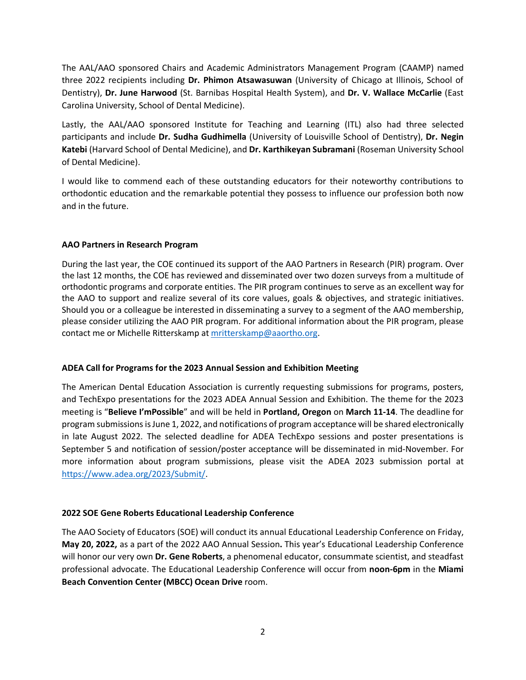The AAL/AAO sponsored Chairs and Academic Administrators Management Program (CAAMP) named three 2022 recipients including **Dr. Phimon Atsawasuwan** (University of Chicago at Illinois, School of Dentistry), **Dr. June Harwood** (St. Barnibas Hospital Health System), and **Dr. V. Wallace McCarlie** (East Carolina University, School of Dental Medicine).

Lastly, the AAL/AAO sponsored Institute for Teaching and Learning (ITL) also had three selected participants and include **Dr. Sudha Gudhimella** (University of Louisville School of Dentistry), **Dr. Negin Katebi** (Harvard School of Dental Medicine), and **Dr. Karthikeyan Subramani** (Roseman University School of Dental Medicine).

I would like to commend each of these outstanding educators for their noteworthy contributions to orthodontic education and the remarkable potential they possess to influence our profession both now and in the future.

## **AAO Partners in Research Program**

During the last year, the COE continued its support of the AAO Partners in Research (PIR) program. Over the last 12 months, the COE has reviewed and disseminated over two dozen surveys from a multitude of orthodontic programs and corporate entities. The PIR program continues to serve as an excellent way for the AAO to support and realize several of its core values, goals & objectives, and strategic initiatives. Should you or a colleague be interested in disseminating a survey to a segment of the AAO membership, please consider utilizing the AAO PIR program. For additional information about the PIR program, please contact me or Michelle Ritterskamp at [mritterskamp@aaortho.org.](mailto:mritterskamp@aaortho.org)

### **ADEA Call for Programs for the 2023 Annual Session and Exhibition Meeting**

The American Dental Education Association is currently requesting submissions for programs, posters, and TechExpo presentations for the 2023 ADEA Annual Session and Exhibition. The theme for the 2023 meeting is "**Believe I'mPossible**" and will be held in **Portland, Oregon** on **March 11-14**. The deadline for program submissions is June 1, 2022, and notifications of program acceptance will be shared electronically in late August 2022. The selected deadline for ADEA TechExpo sessions and poster presentations is September 5 and notification of session/poster acceptance will be disseminated in mid-November. For more information about program submissions, please visit the ADEA 2023 submission portal at [https://www.adea.org/2023/Submit/.](https://www.adea.org/2023/Submit/)

### **2022 SOE Gene Roberts Educational Leadership Conference**

The AAO Society of Educators (SOE) will conduct its annual Educational Leadership Conference on Friday, **May 20, 2022,** as a part of the 2022 AAO Annual Session**.** This year's Educational Leadership Conference will honor our very own **Dr. Gene Roberts**, a phenomenal educator, consummate scientist, and steadfast professional advocate. The Educational Leadership Conference will occur from **noon-6pm** in the **Miami Beach Convention Center (MBCC) Ocean Drive** room.